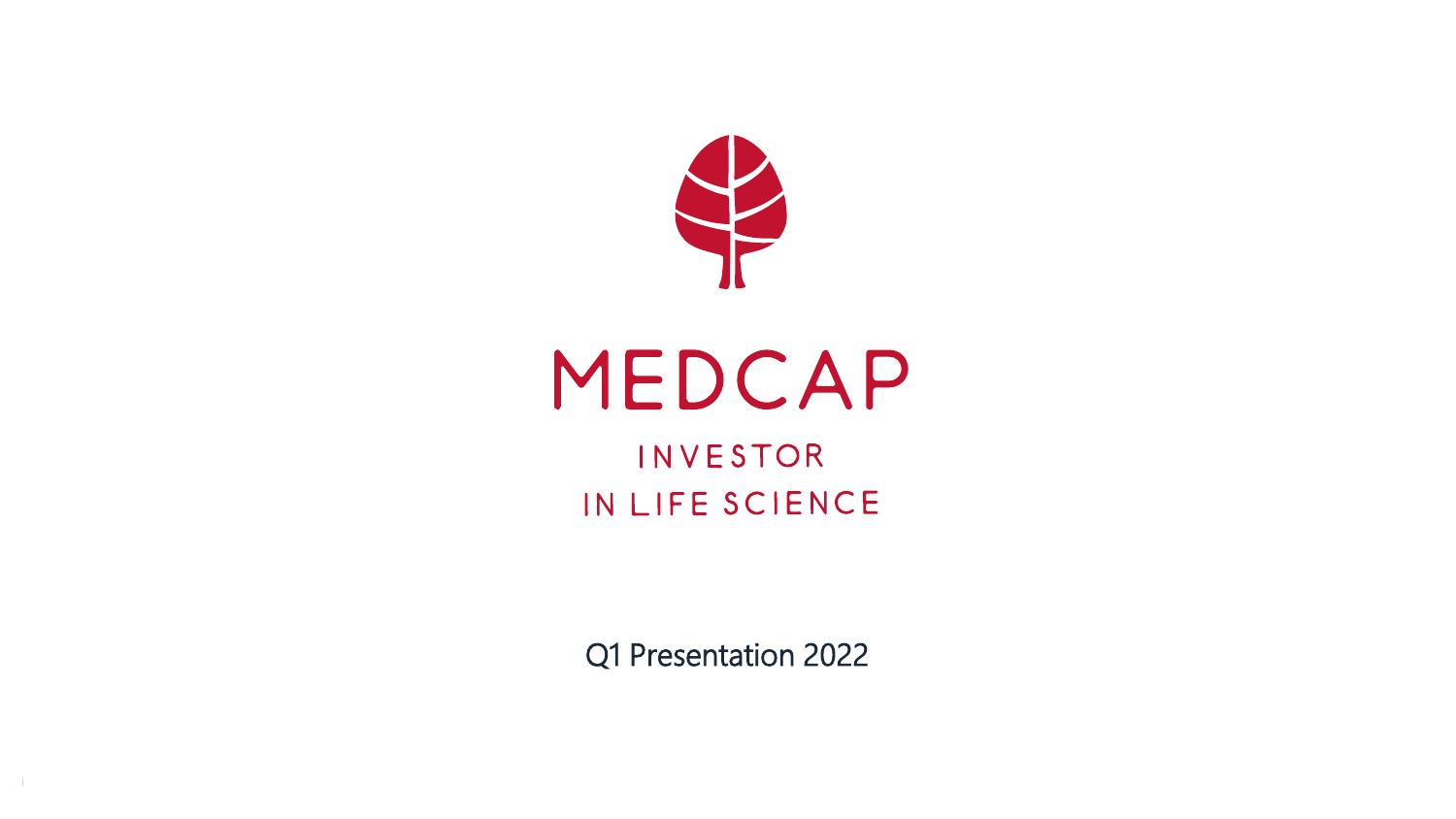

## MEDCAP INVESTOR IN LIFE SCIENCE

Q1 Presentation 2022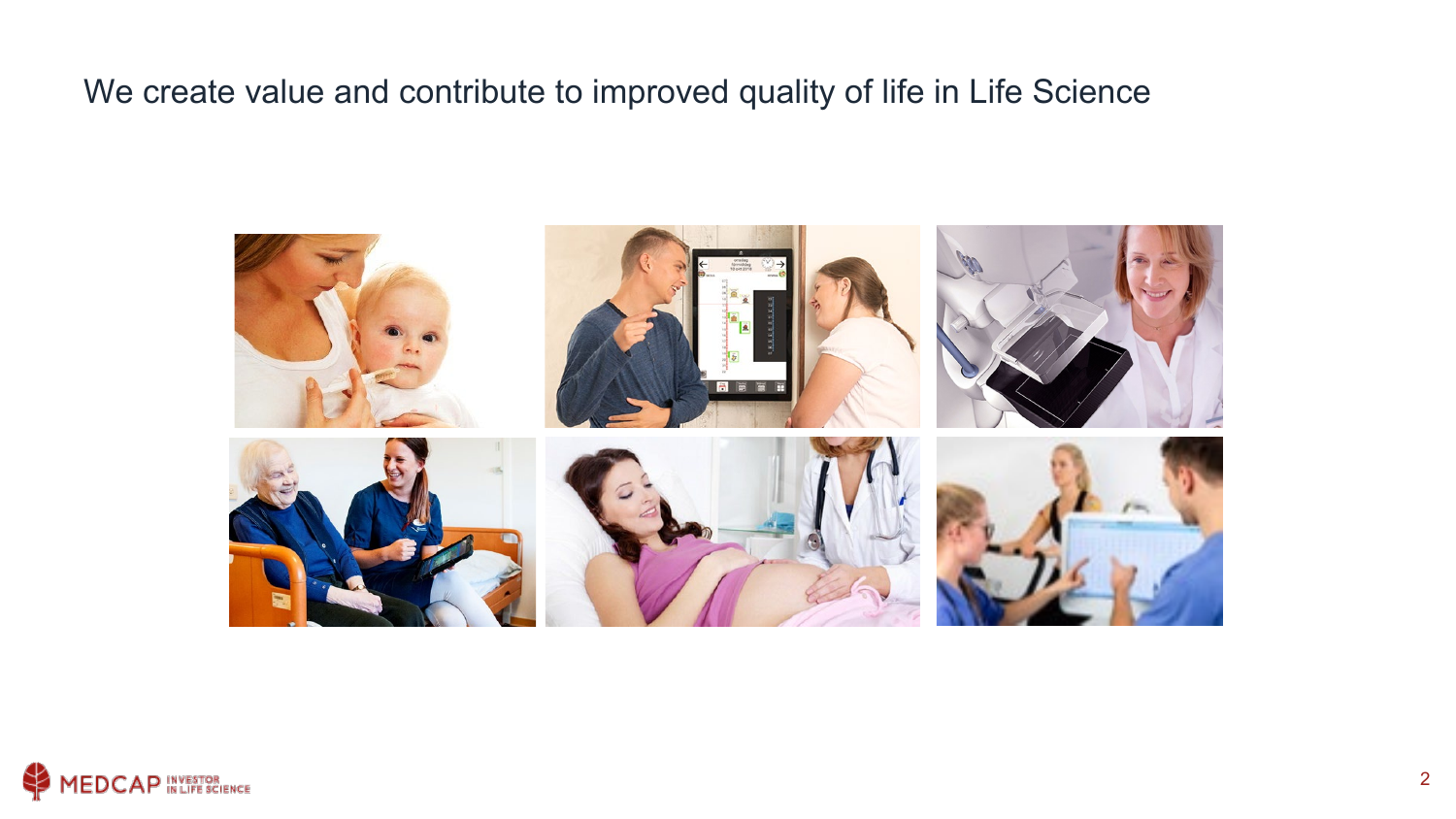We create value and contribute to improved quality of life in Life Science



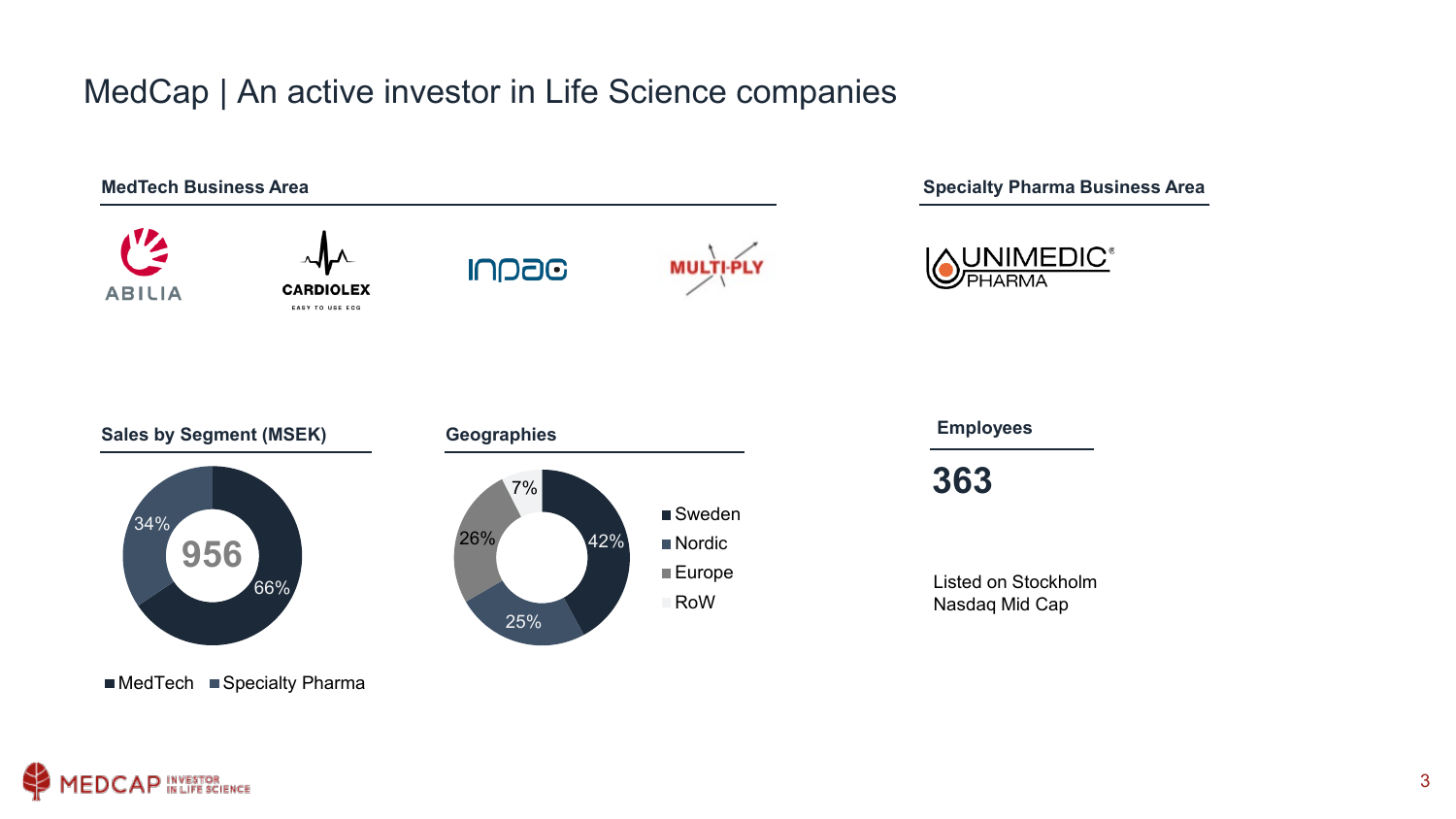#### MedCap | An active investor in Life Science companies



■MedTech ■ Specialty Pharma

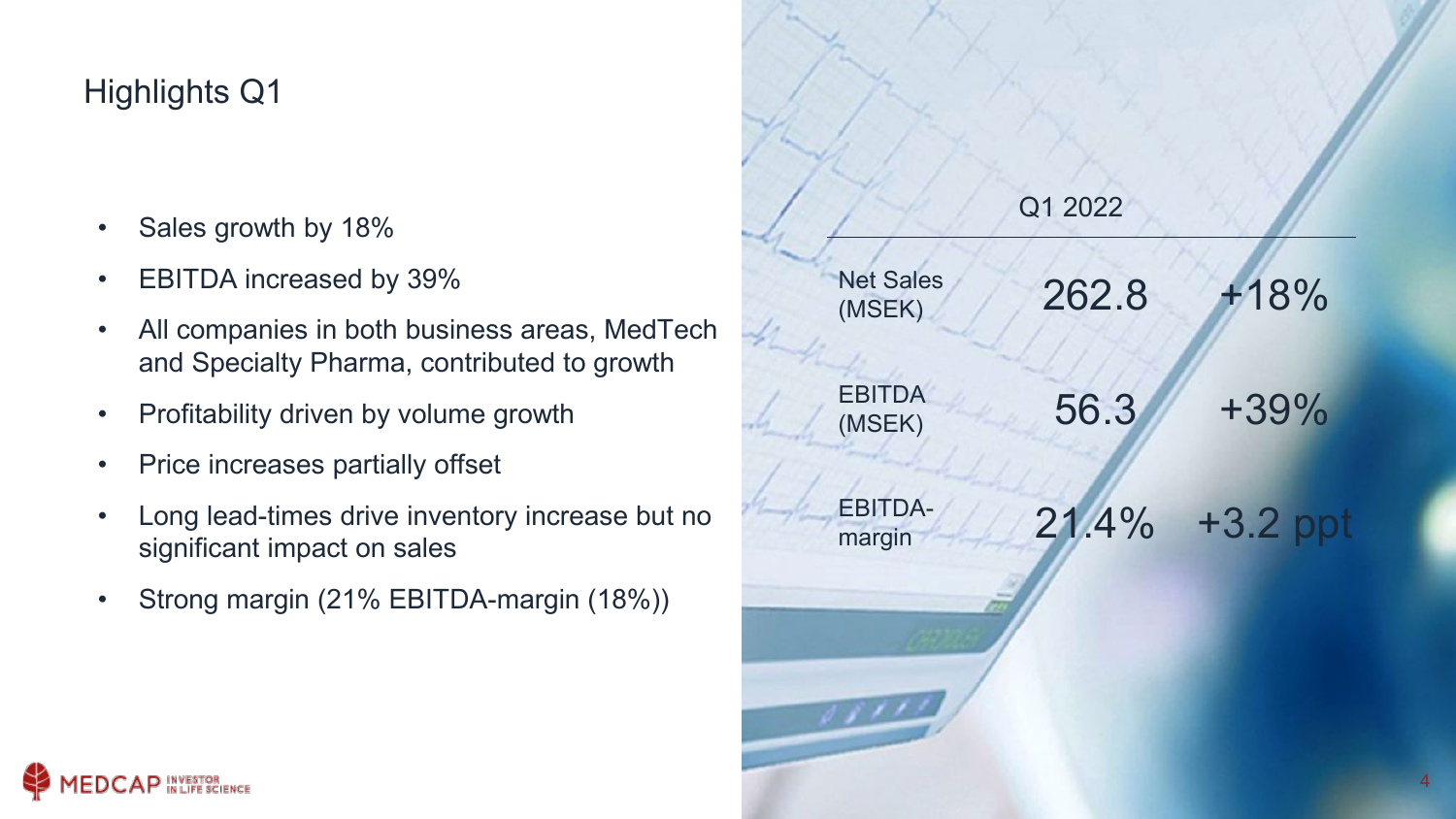### Highlights Q1

- Sales growth by 18%
- EBITDA increased by 39%
- All companies in both business areas, MedTech and Specialty Pharma, contributed to growth
- Profitability driven by volume growth
- Price increases partially offset
- Long lead-times drive inventory increase but no significant impact on sales
- Strong margin (21% EBITDA-margin (18%))

| Q1 2022 |          |
|---------|----------|
| 262.8   | $+18%$   |
| 56.3    | $+39%$   |
| 21.4%   | +3.2 ppt |
|         |          |

4

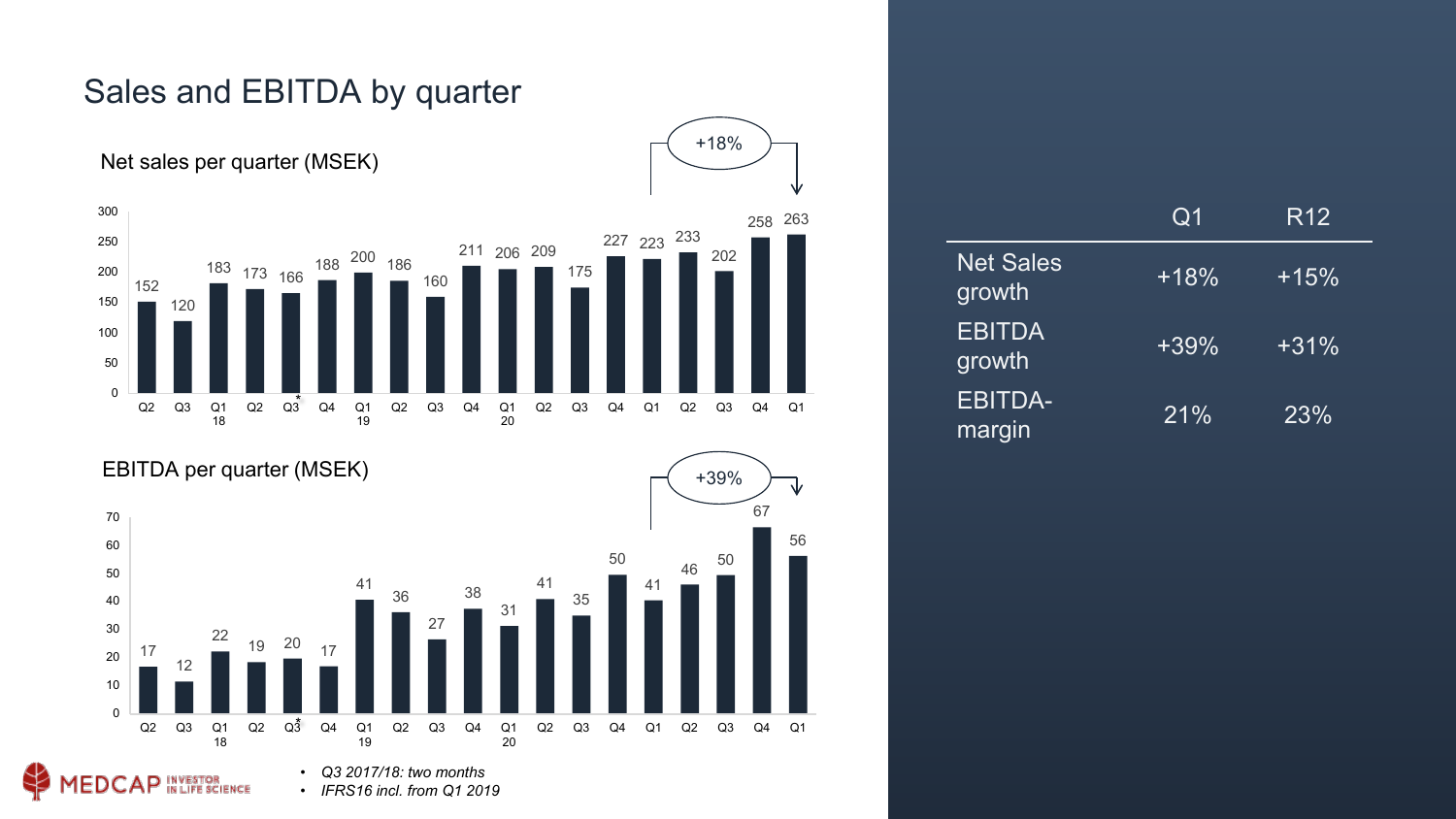

#### Sales and EBITDA by quarter



• *IFRS16 incl. from Q1 2019*

|                            | $\rm Q1$ | R <sub>12</sub> |
|----------------------------|----------|-----------------|
| <b>Net Sales</b><br>growth | $+18%$   | $+15%$          |
| <b>EBITDA</b><br>growth    | $+39%$   | $+31%$          |
| <b>EBITDA-</b><br>margin   | 21%      | 23%             |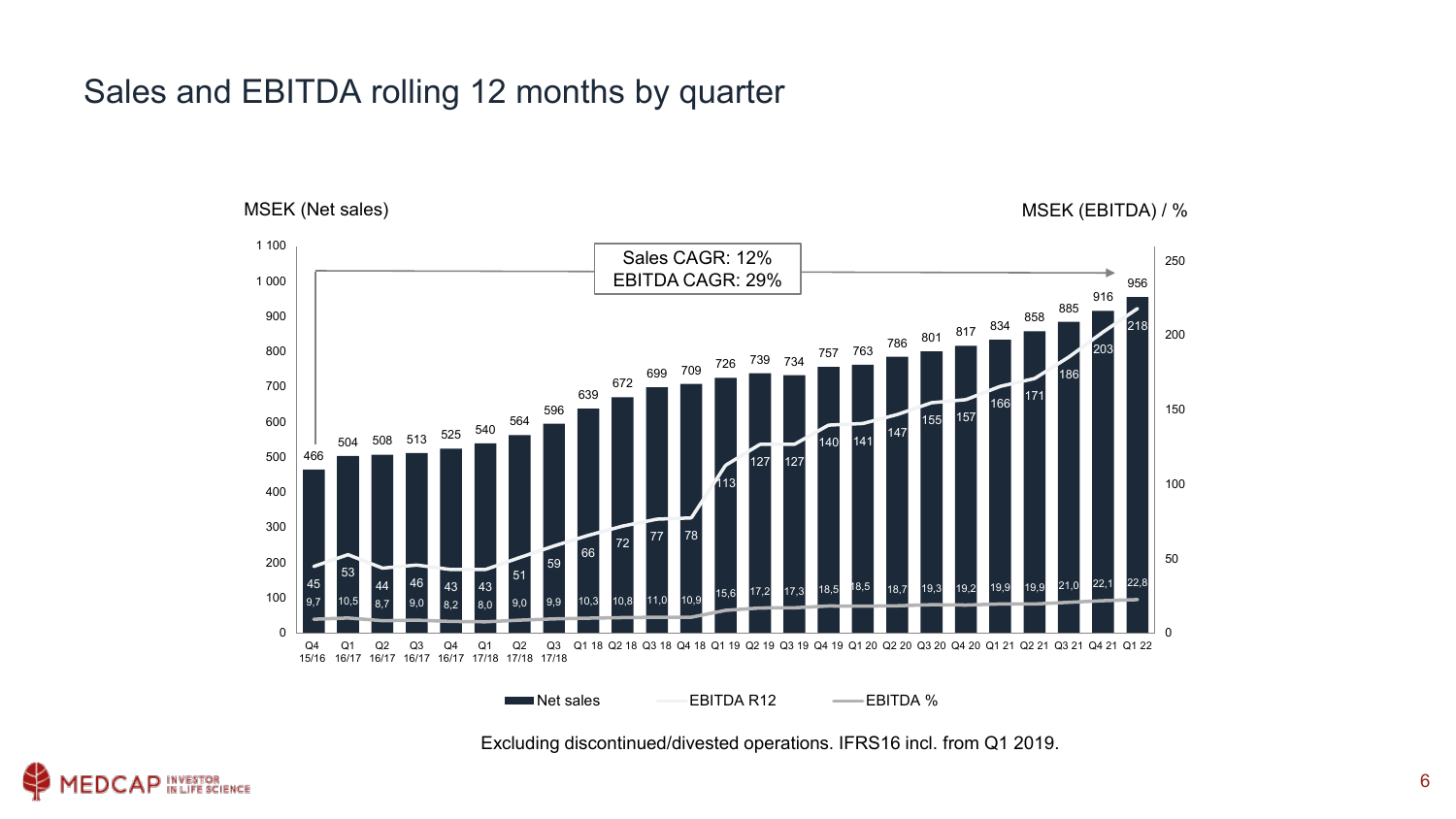#### Sales and EBITDA rolling 12 months by quarter

MSEK (Net sales) MSEK (EBITDA) / %



Excluding discontinued/divested operations. IFRS16 incl. from Q1 2019.

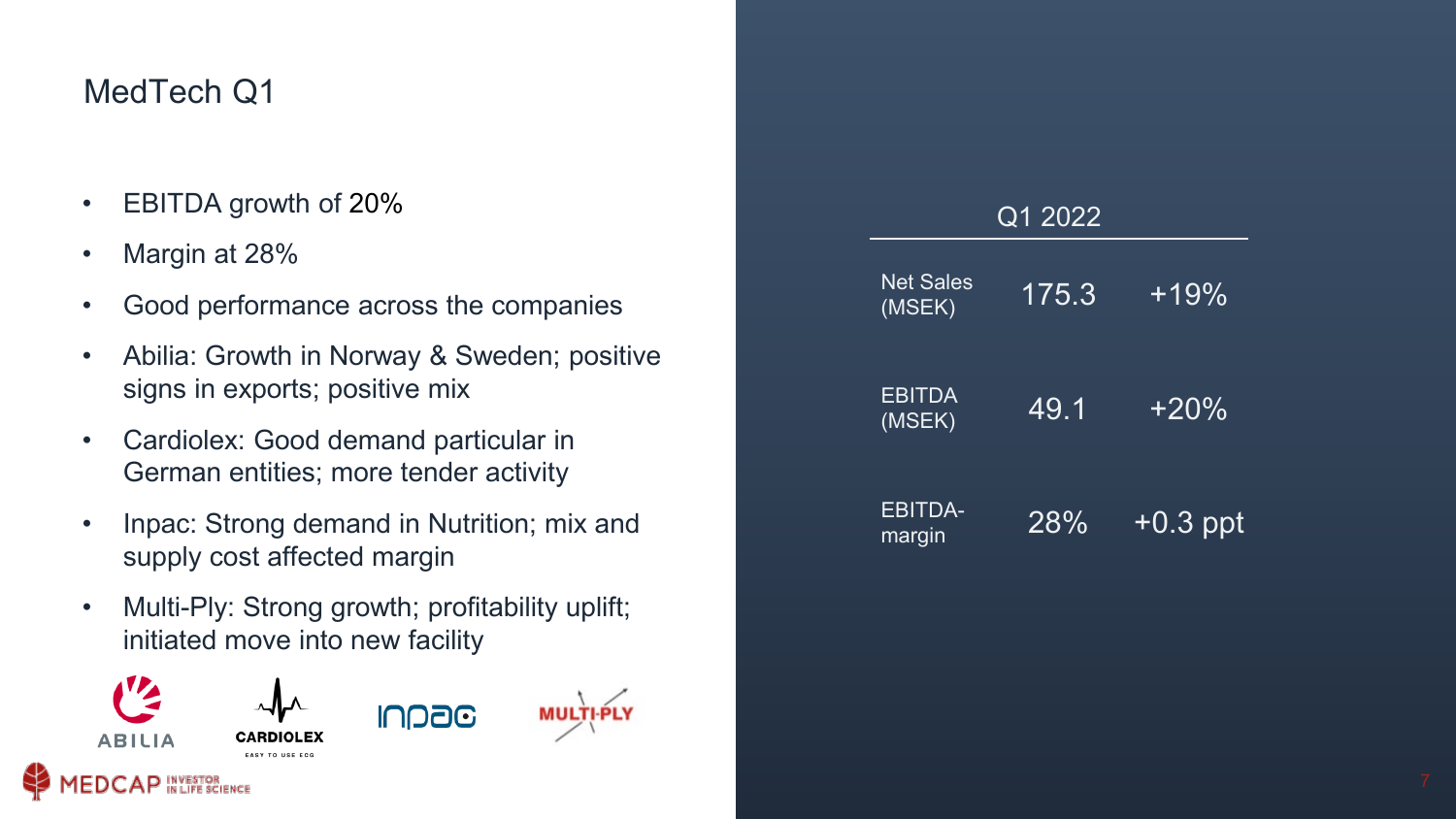#### MedTech Q1

- EBITDA growth of 20%
- Margin at 28%
- Good performance across the companies
- Abilia: Growth in Norway & Sweden; positive signs in exports; positive mix
- Cardiolex: Good demand particular in German entities; more tender activity
- Inpac: Strong demand in Nutrition; mix and supply cost affected margin
- Multi-Ply: Strong growth; profitability uplift; initiated move into new facility



| Q1 2022                    |       |            |  |  |
|----------------------------|-------|------------|--|--|
| <b>Net Sales</b><br>(MSEK) | 175.3 | $+19%$     |  |  |
| <b>EBITDA</b><br>(MSEK)    | 49.1  | $+20\%$    |  |  |
| <b>EBITDA-</b><br>margin   | 28%   | $+0.3$ ppt |  |  |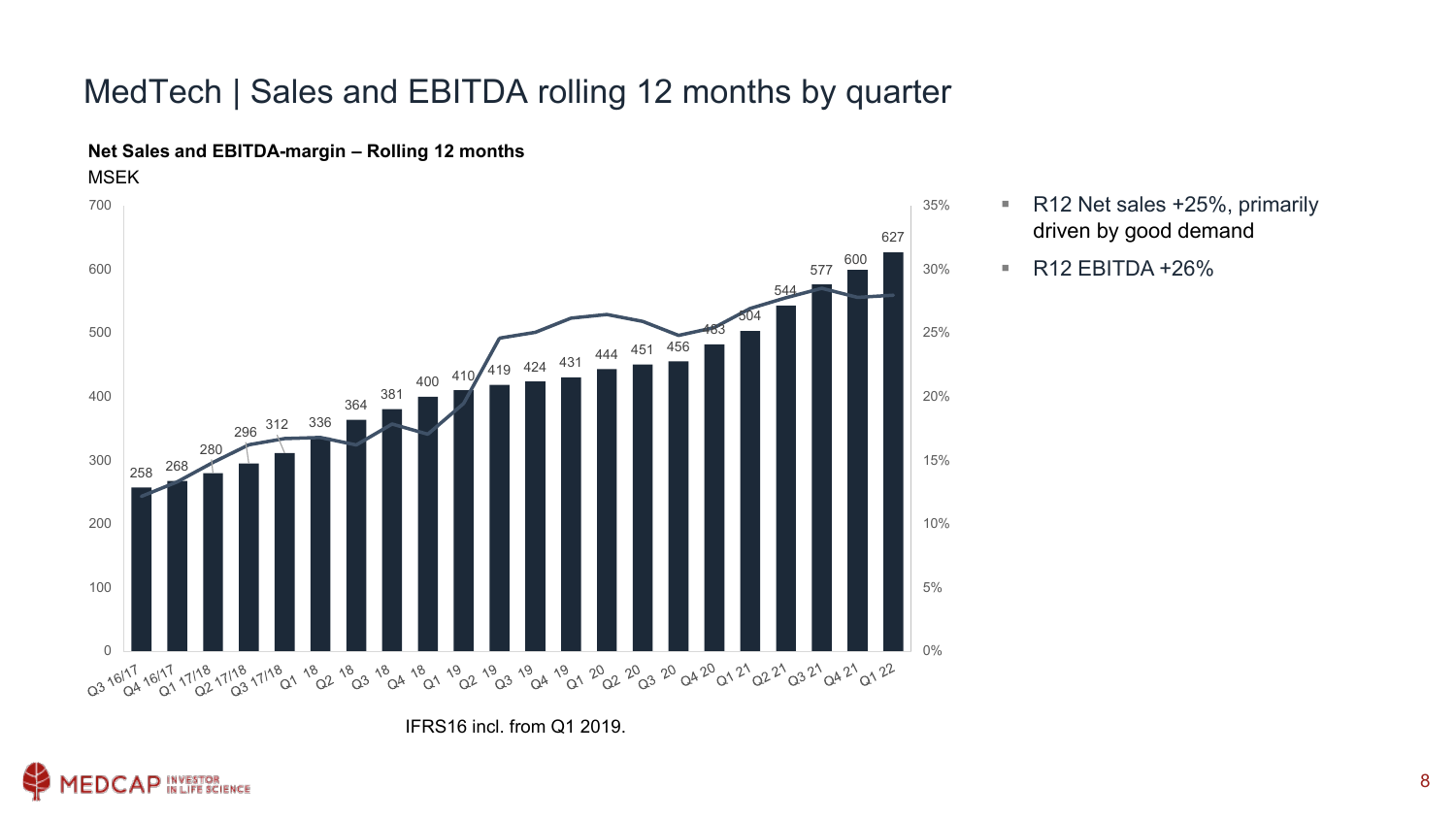#### MedTech | Sales and EBITDA rolling 12 months by quarter



**Net Sales and EBITDA-margin – Rolling 12 months**

IFRS16 incl. from Q1 2019.



■ R12 Net sales +25%, primarily driven by good demand

 $\blacksquare$  R12 EBITDA +26%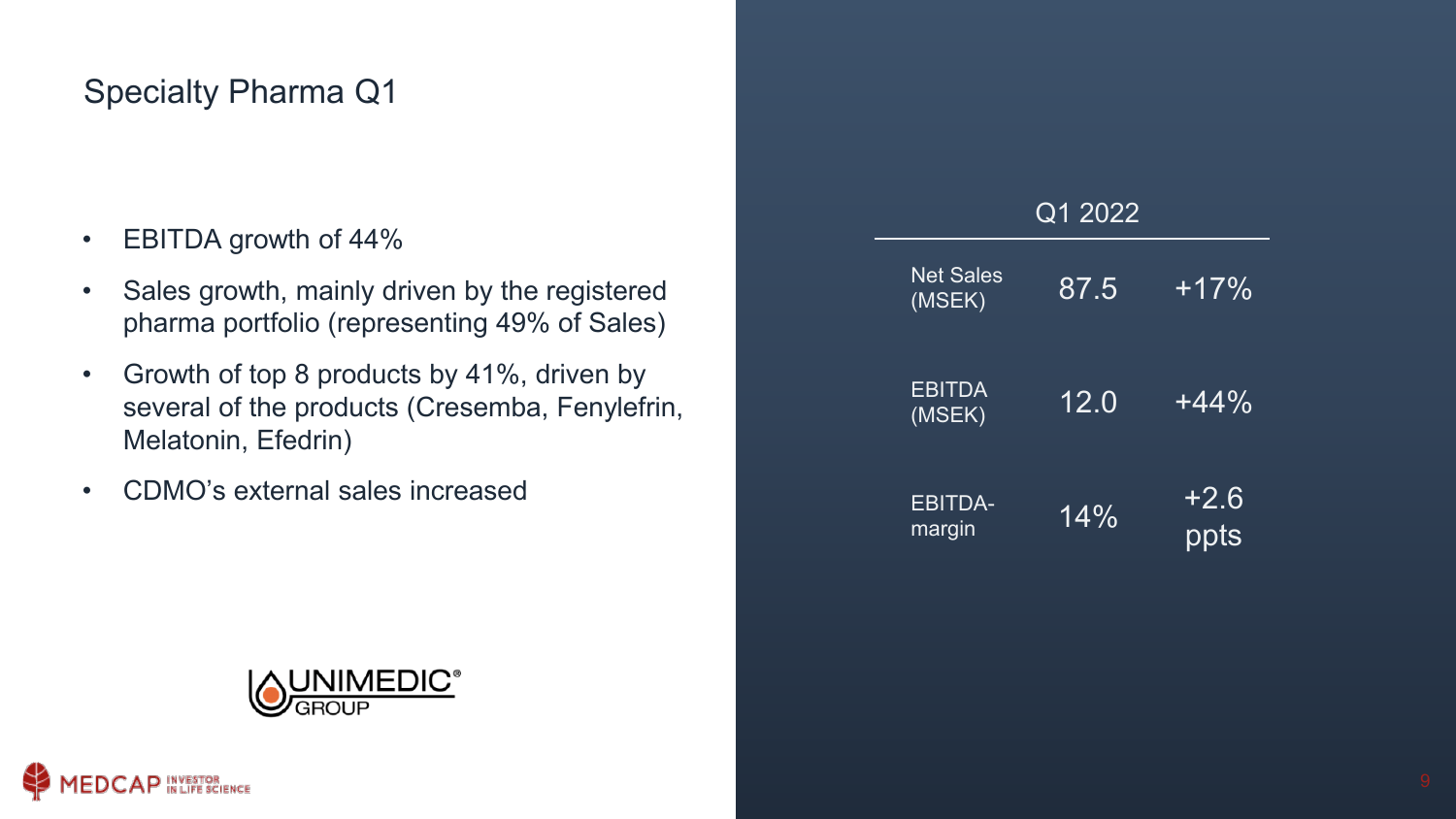#### Specialty Pharma Q1

- EBITDA growth of 44%
- Sales growth, mainly driven by the registered pharma portfolio (representing 49% of Sales)
- Growth of top 8 products by 41%, driven by several of the products (Cresemba, Fenylefrin, Melatonin, Efedrin)
- CDMO's external sales increased

| Q1 2022                    |        |                |  |  |
|----------------------------|--------|----------------|--|--|
| <b>Net Sales</b><br>(MSEK) | 87.5   | $+17%$         |  |  |
| <b>EBITDA</b><br>(MSEK)    | 12.0   | $+44\%$        |  |  |
| <b>EBITDA-</b><br>margin   | $14\%$ | $+2.6$<br>ppts |  |  |

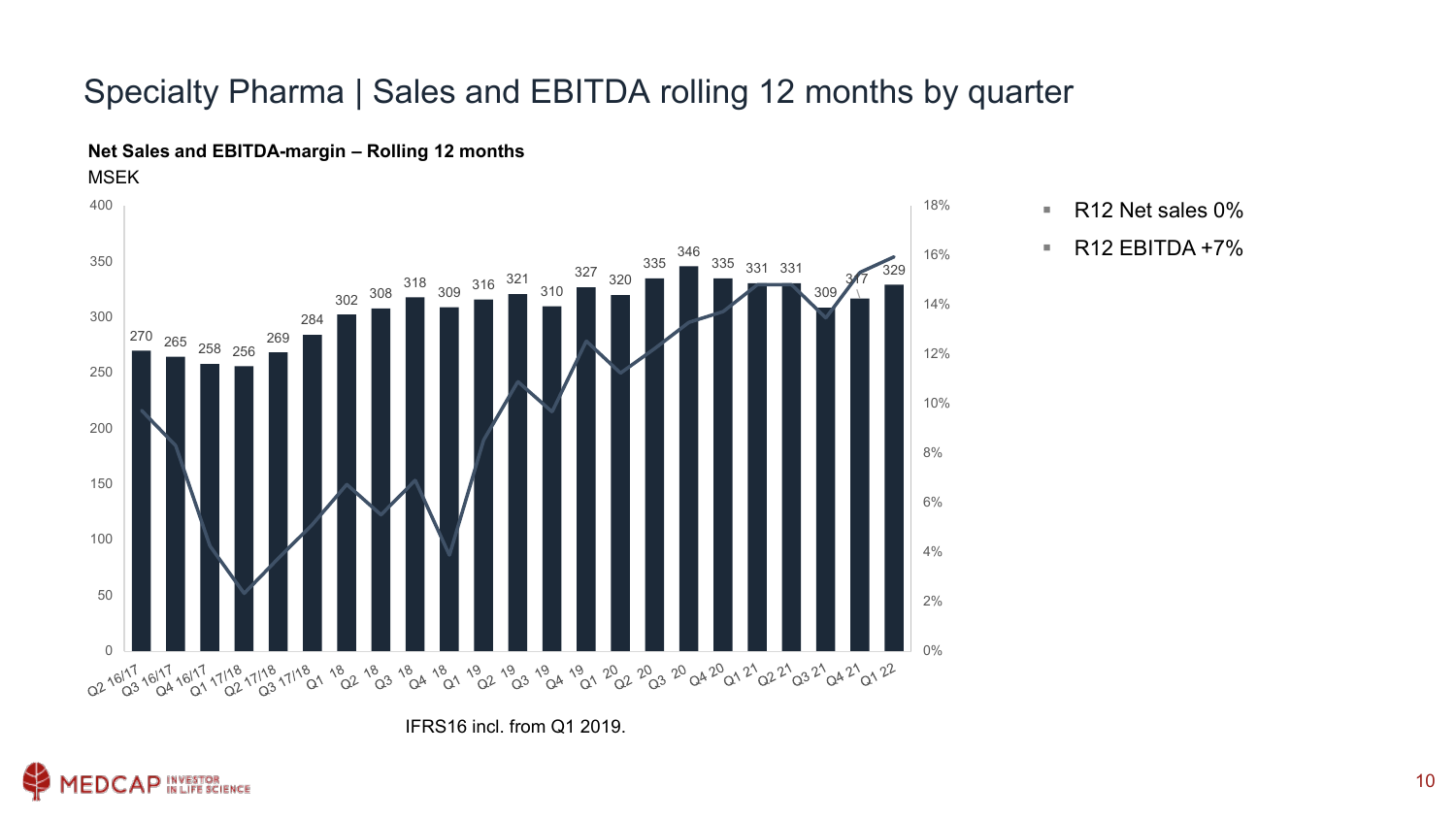#### Specialty Pharma | Sales and EBITDA rolling 12 months by quarter



#### **Net Sales and EBITDA-margin – Rolling 12 months** MSEK

 $\blacksquare$  R12 Net sales 0%

 $\blacksquare$  R12 EBITDA +7%

IFRS16 incl. from Q1 2019.

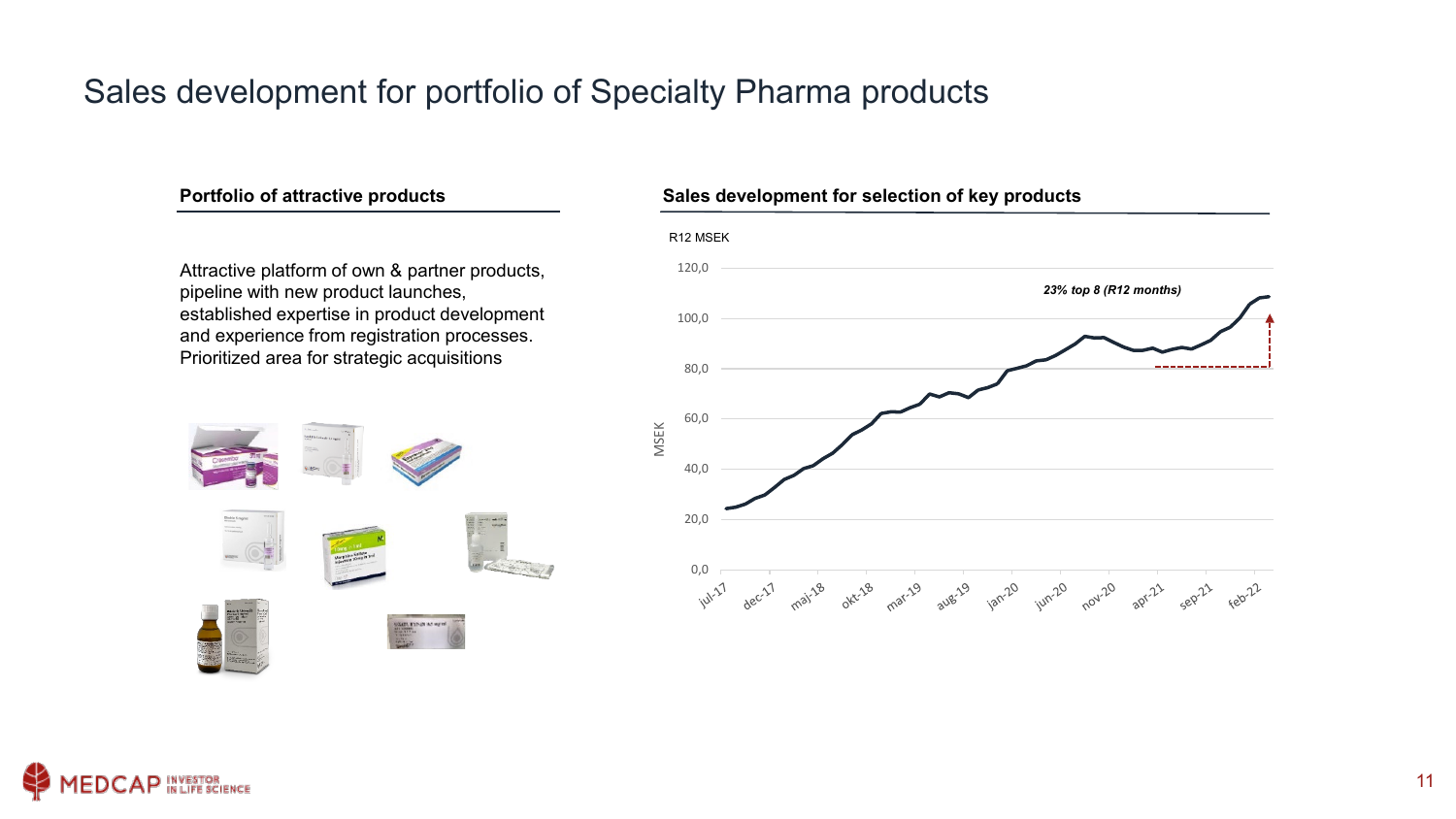#### Sales development for portfolio of Specialty Pharma products

Attractive platform of own & partner products, pipeline with new product launches, established expertise in product development and experience from registration processes. Prioritized area for strategic acquisitions



#### **Portfolio of attractive products Sales development for selection of key products**

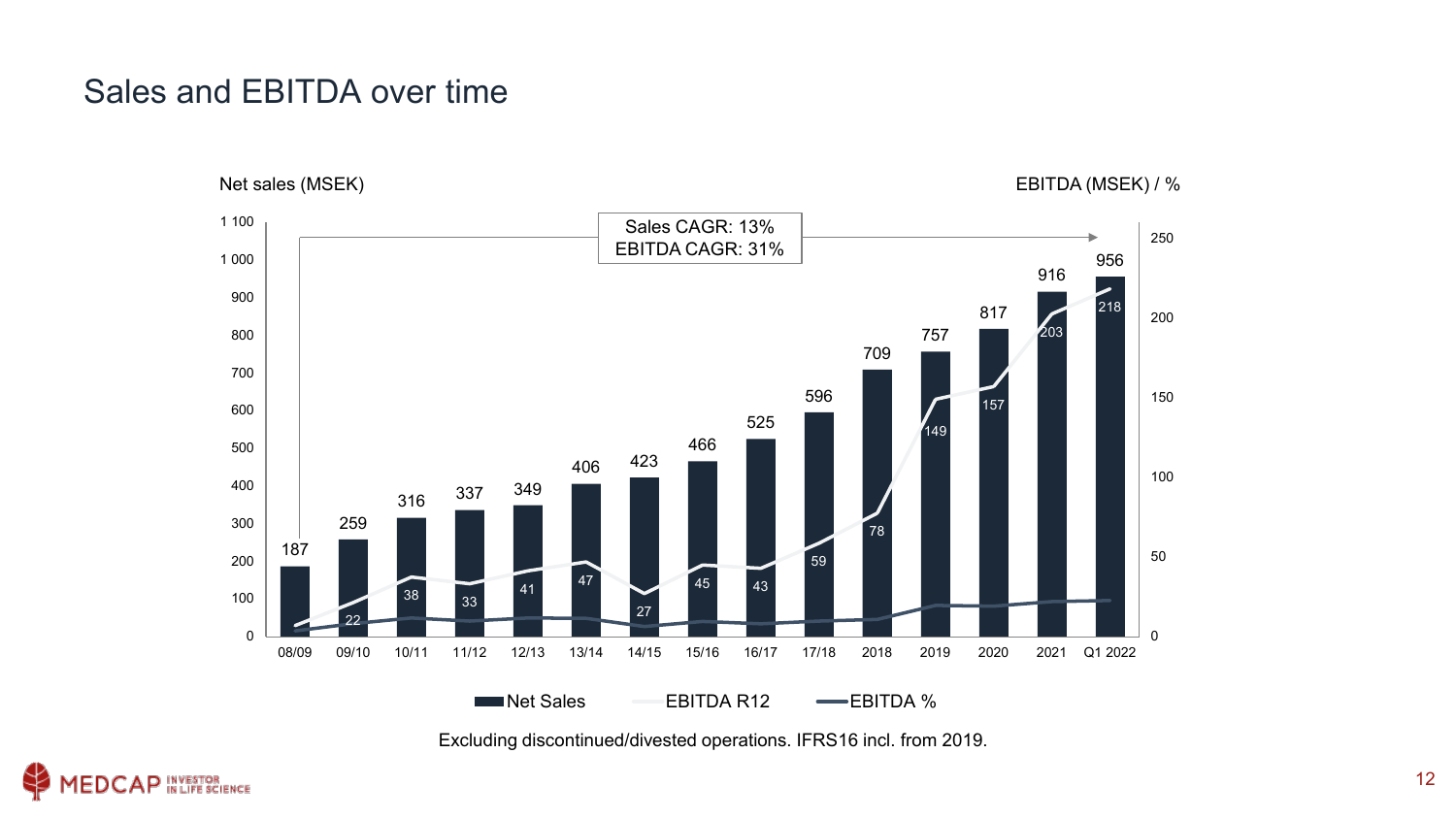#### Sales and EBITDA over time



Excluding discontinued/divested operations. IFRS16 incl. from 2019.

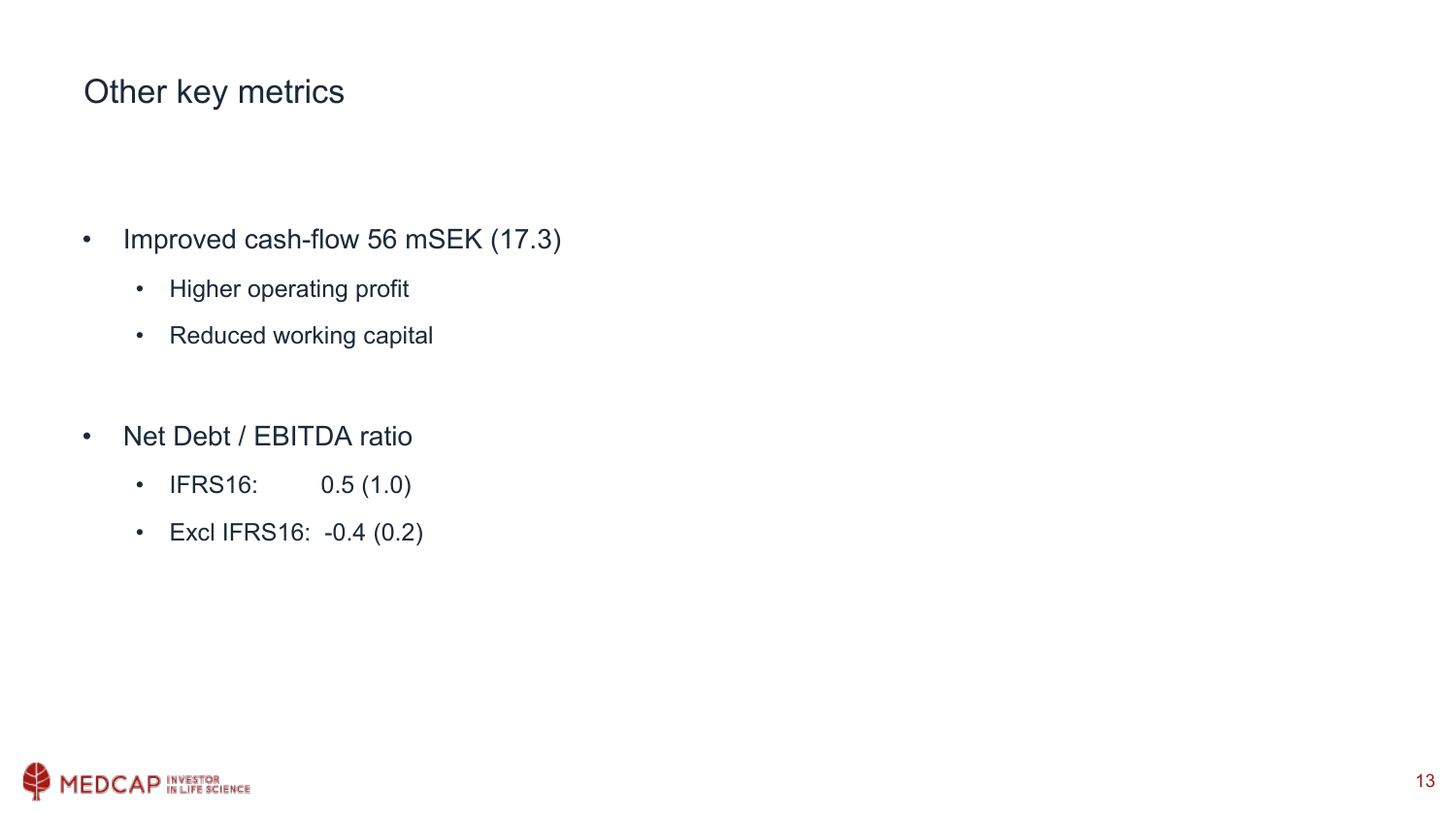#### Other key metrics

- Improved cash-flow 56 mSEK (17.3)
	- Higher operating profit
	- Reduced working capital
- Net Debt / EBITDA ratio
	- IFRS16: 0.5 (1.0)
	- Excl IFRS16: -0.4 (0.2)

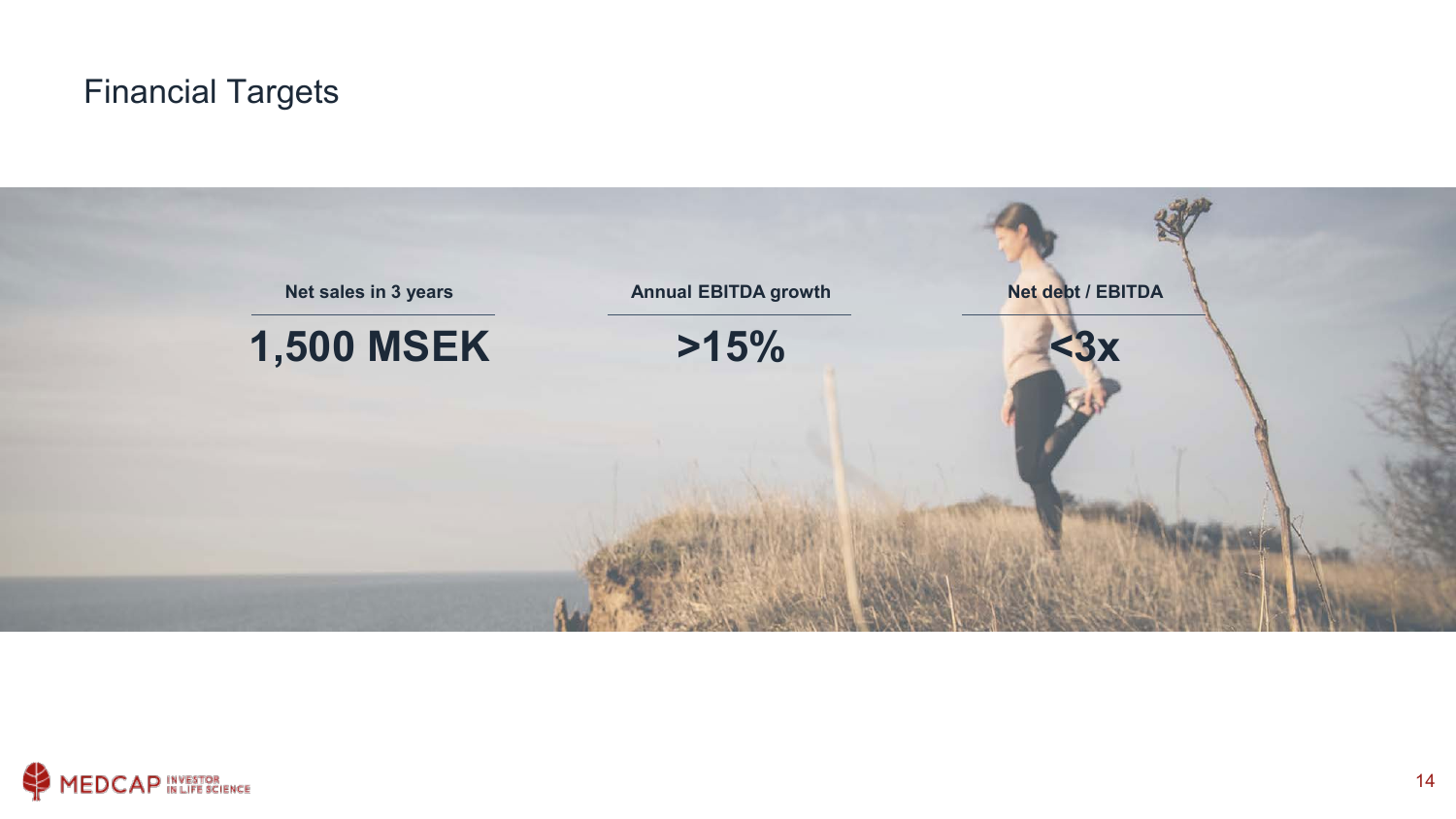#### Financial Targets



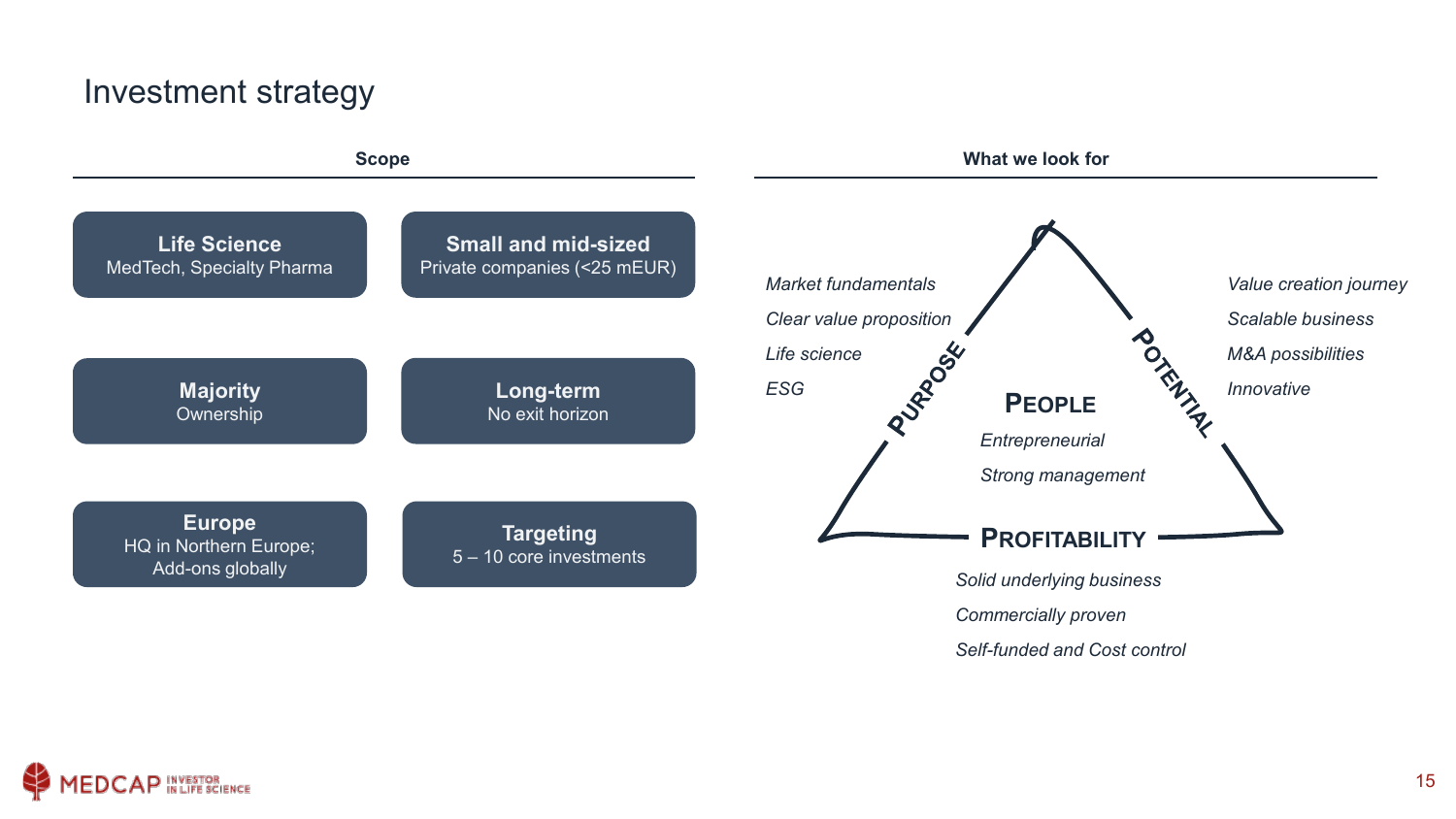#### Investment strategy